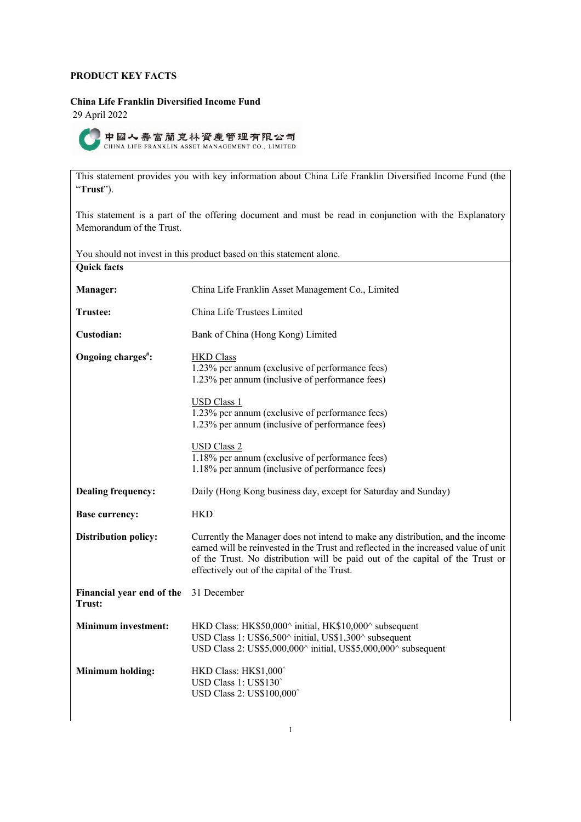# **PRODUCT KEY FACTS**

## **China Life Franklin Diversified Income Fund**

29 April 2022



This statement provides you with key information about China Life Franklin Diversified Income Fund (the "**Trust**").

This statement is a part of the offering document and must be read in conjunction with the Explanatory Memorandum of the Trust.

| You should not invest in this product based on this statement alone. |                                                                                                                                                                                                                                                                                                        |  |
|----------------------------------------------------------------------|--------------------------------------------------------------------------------------------------------------------------------------------------------------------------------------------------------------------------------------------------------------------------------------------------------|--|
| <b>Quick facts</b>                                                   |                                                                                                                                                                                                                                                                                                        |  |
| Manager:                                                             | China Life Franklin Asset Management Co., Limited                                                                                                                                                                                                                                                      |  |
| Trustee:                                                             | China Life Trustees Limited                                                                                                                                                                                                                                                                            |  |
| Custodian:                                                           | Bank of China (Hong Kong) Limited                                                                                                                                                                                                                                                                      |  |
| Ongoing charges <sup>#</sup> :                                       | <b>HKD</b> Class<br>1.23% per annum (exclusive of performance fees)<br>1.23% per annum (inclusive of performance fees)                                                                                                                                                                                 |  |
|                                                                      | USD Class 1<br>1.23% per annum (exclusive of performance fees)<br>1.23% per annum (inclusive of performance fees)                                                                                                                                                                                      |  |
|                                                                      | <b>USD Class 2</b><br>1.18% per annum (exclusive of performance fees)<br>1.18% per annum (inclusive of performance fees)                                                                                                                                                                               |  |
| <b>Dealing frequency:</b>                                            | Daily (Hong Kong business day, except for Saturday and Sunday)                                                                                                                                                                                                                                         |  |
| <b>Base currency:</b>                                                | <b>HKD</b>                                                                                                                                                                                                                                                                                             |  |
| <b>Distribution policy:</b>                                          | Currently the Manager does not intend to make any distribution, and the income<br>earned will be reinvested in the Trust and reflected in the increased value of unit<br>of the Trust. No distribution will be paid out of the capital of the Trust or<br>effectively out of the capital of the Trust. |  |
| Financial year end of the<br>Trust:                                  | 31 December                                                                                                                                                                                                                                                                                            |  |
| <b>Minimum investment:</b>                                           | HKD Class: HK\$50,000^ initial, HK\$10,000^ subsequent<br>USD Class 1: US\$6,500^ initial, US\$1,300^ subsequent<br>USD Class 2: US\$5,000,000^ initial, US\$5,000,000^ subsequent                                                                                                                     |  |
| <b>Minimum holding:</b>                                              | HKD Class: HK\$1,000^<br>USD Class $1: US$130^$<br>USD Class 2: US\$100,000                                                                                                                                                                                                                            |  |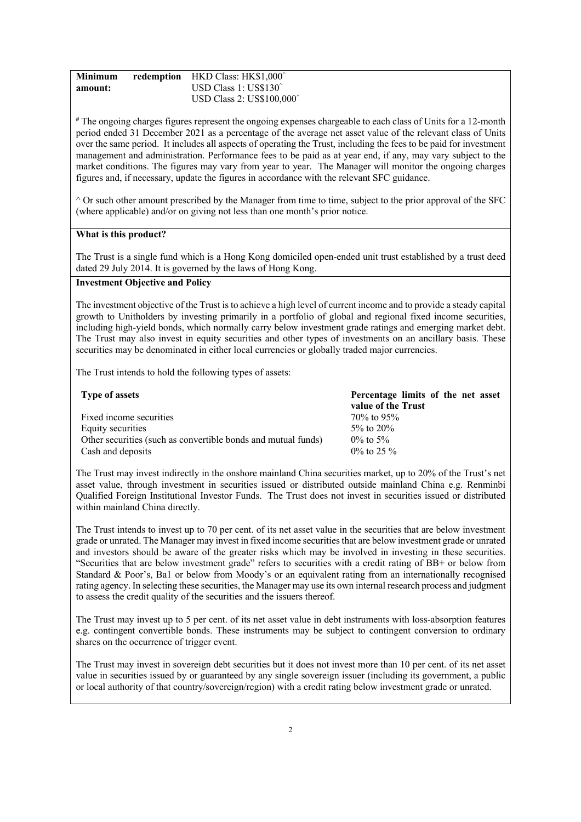| <b>Minimum</b> | redemption | HKD Class: HK\$1,000^    |
|----------------|------------|--------------------------|
| amount:        |            | USD Class 1: US\$130     |
|                |            | USD Class 2: US\$100,000 |

**#** The ongoing charges figures represent the ongoing expenses chargeable to each class of Units for a 12-month period ended 31 December 2021 as a percentage of the average net asset value of the relevant class of Units over the same period. It includes all aspects of operating the Trust, including the fees to be paid for investment management and administration. Performance fees to be paid as at year end, if any, may vary subject to the market conditions. The figures may vary from year to year. The Manager will monitor the ongoing charges figures and, if necessary, update the figures in accordance with the relevant SFC guidance.

 $\wedge$  Or such other amount prescribed by the Manager from time to time, subject to the prior approval of the SFC (where applicable) and/or on giving not less than one month's prior notice.

## **What is this product?**

The Trust is a single fund which is a Hong Kong domiciled open-ended unit trust established by a trust deed dated 29 July 2014. It is governed by the laws of Hong Kong.

# **Investment Objective and Policy**

The investment objective of the Trust is to achieve a high level of current income and to provide a steady capital growth to Unitholders by investing primarily in a portfolio of global and regional fixed income securities, including high-yield bonds, which normally carry below investment grade ratings and emerging market debt. The Trust may also invest in equity securities and other types of investments on an ancillary basis. These securities may be denominated in either local currencies or globally traded major currencies.

The Trust intends to hold the following types of assets:

| <b>Type of assets</b>                                         | Percentage limits of the net asset<br>value of the Trust |
|---------------------------------------------------------------|----------------------------------------------------------|
| Fixed income securities                                       | 70\% to 95\%                                             |
| Equity securities                                             | 5\% to 20\%                                              |
| Other securities (such as convertible bonds and mutual funds) | $0\%$ to 5%                                              |
| Cash and deposits                                             | $0\%$ to 25 $\%$                                         |

The Trust may invest indirectly in the onshore mainland China securities market, up to 20% of the Trust's net asset value, through investment in securities issued or distributed outside mainland China e.g. Renminbi Qualified Foreign Institutional Investor Funds. The Trust does not invest in securities issued or distributed within mainland China directly.

The Trust intends to invest up to 70 per cent. of its net asset value in the securities that are below investment grade or unrated. The Manager may invest in fixed income securities that are below investment grade or unrated and investors should be aware of the greater risks which may be involved in investing in these securities. "Securities that are below investment grade" refers to securities with a credit rating of BB+ or below from Standard & Poor's, Ba1 or below from Moody's or an equivalent rating from an internationally recognised rating agency. In selecting these securities, the Manager may use its own internal research process and judgment to assess the credit quality of the securities and the issuers thereof.

The Trust may invest up to 5 per cent. of its net asset value in debt instruments with loss-absorption features e.g. contingent convertible bonds. These instruments may be subject to contingent conversion to ordinary shares on the occurrence of trigger event.

The Trust may invest in sovereign debt securities but it does not invest more than 10 per cent. of its net asset value in securities issued by or guaranteed by any single sovereign issuer (including its government, a public or local authority of that country/sovereign/region) with a credit rating below investment grade or unrated.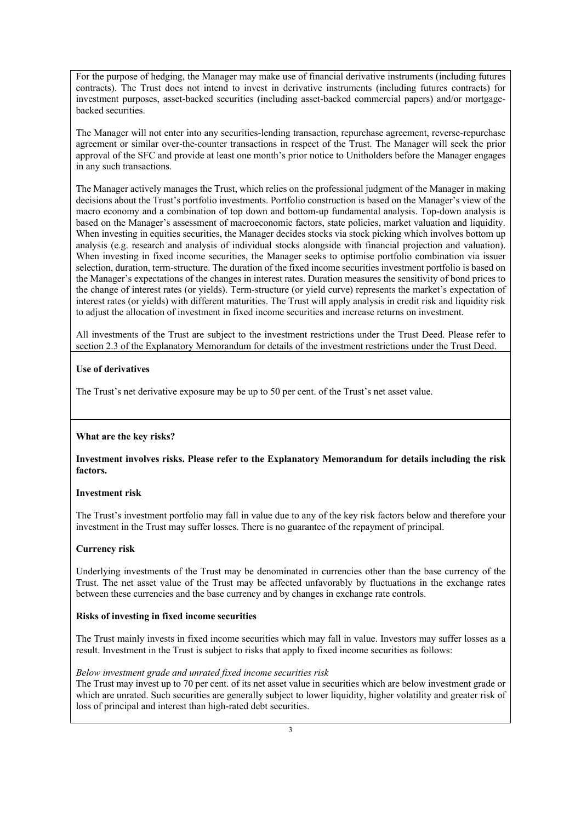For the purpose of hedging, the Manager may make use of financial derivative instruments (including futures contracts). The Trust does not intend to invest in derivative instruments (including futures contracts) for investment purposes, asset-backed securities (including asset-backed commercial papers) and/or mortgagebacked securities.

The Manager will not enter into any securities-lending transaction, repurchase agreement, reverse-repurchase agreement or similar over-the-counter transactions in respect of the Trust. The Manager will seek the prior approval of the SFC and provide at least one month's prior notice to Unitholders before the Manager engages in any such transactions.

The Manager actively manages the Trust, which relies on the professional judgment of the Manager in making decisions about the Trust's portfolio investments. Portfolio construction is based on the Manager's view of the macro economy and a combination of top down and bottom-up fundamental analysis. Top-down analysis is based on the Manager's assessment of macroeconomic factors, state policies, market valuation and liquidity. When investing in equities securities, the Manager decides stocks via stock picking which involves bottom up analysis (e.g. research and analysis of individual stocks alongside with financial projection and valuation). When investing in fixed income securities, the Manager seeks to optimise portfolio combination via issuer selection, duration, term-structure. The duration of the fixed income securities investment portfolio is based on the Manager's expectations of the changes in interest rates. Duration measures the sensitivity of bond prices to the change of interest rates (or yields). Term-structure (or yield curve) represents the market's expectation of interest rates (or yields) with different maturities. The Trust will apply analysis in credit risk and liquidity risk to adjust the allocation of investment in fixed income securities and increase returns on investment.

All investments of the Trust are subject to the investment restrictions under the Trust Deed. Please refer to section 2.3 of the Explanatory Memorandum for details of the investment restrictions under the Trust Deed.

## **Use of derivatives**

The Trust's net derivative exposure may be up to 50 per cent. of the Trust's net asset value.

#### **What are the key risks?**

## **Investment involves risks. Please refer to the Explanatory Memorandum for details including the risk factors.**

#### **Investment risk**

The Trust's investment portfolio may fall in value due to any of the key risk factors below and therefore your investment in the Trust may suffer losses. There is no guarantee of the repayment of principal.

## **Currency risk**

Underlying investments of the Trust may be denominated in currencies other than the base currency of the Trust. The net asset value of the Trust may be affected unfavorably by fluctuations in the exchange rates between these currencies and the base currency and by changes in exchange rate controls.

## **Risks of investing in fixed income securities**

The Trust mainly invests in fixed income securities which may fall in value. Investors may suffer losses as a result. Investment in the Trust is subject to risks that apply to fixed income securities as follows:

#### *Below investment grade and unrated fixed income securities risk*

The Trust may invest up to 70 per cent. of its net asset value in securities which are below investment grade or which are unrated. Such securities are generally subject to lower liquidity, higher volatility and greater risk of loss of principal and interest than high-rated debt securities.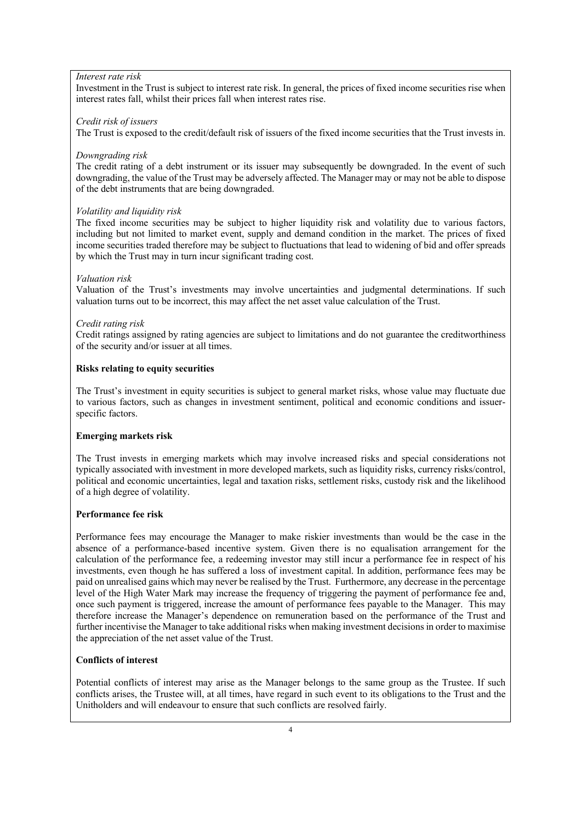#### *Interest rate risk*

Investment in the Trust is subject to interest rate risk. In general, the prices of fixed income securities rise when interest rates fall, whilst their prices fall when interest rates rise.

#### *Credit risk of issuers*

The Trust is exposed to the credit/default risk of issuers of the fixed income securities that the Trust invests in.

#### *Downgrading risk*

The credit rating of a debt instrument or its issuer may subsequently be downgraded. In the event of such downgrading, the value of the Trust may be adversely affected. The Manager may or may not be able to dispose of the debt instruments that are being downgraded.

#### *Volatility and liquidity risk*

The fixed income securities may be subject to higher liquidity risk and volatility due to various factors, including but not limited to market event, supply and demand condition in the market. The prices of fixed income securities traded therefore may be subject to fluctuations that lead to widening of bid and offer spreads by which the Trust may in turn incur significant trading cost.

#### *Valuation risk*

Valuation of the Trust's investments may involve uncertainties and judgmental determinations. If such valuation turns out to be incorrect, this may affect the net asset value calculation of the Trust.

#### *Credit rating risk*

Credit ratings assigned by rating agencies are subject to limitations and do not guarantee the creditworthiness of the security and/or issuer at all times.

#### **Risks relating to equity securities**

The Trust's investment in equity securities is subject to general market risks, whose value may fluctuate due to various factors, such as changes in investment sentiment, political and economic conditions and issuerspecific factors.

## **Emerging markets risk**

The Trust invests in emerging markets which may involve increased risks and special considerations not typically associated with investment in more developed markets, such as liquidity risks, currency risks/control, political and economic uncertainties, legal and taxation risks, settlement risks, custody risk and the likelihood of a high degree of volatility.

#### **Performance fee risk**

Performance fees may encourage the Manager to make riskier investments than would be the case in the absence of a performance-based incentive system. Given there is no equalisation arrangement for the calculation of the performance fee, a redeeming investor may still incur a performance fee in respect of his investments, even though he has suffered a loss of investment capital. In addition, performance fees may be paid on unrealised gains which may never be realised by the Trust. Furthermore, any decrease in the percentage level of the High Water Mark may increase the frequency of triggering the payment of performance fee and, once such payment is triggered, increase the amount of performance fees payable to the Manager. This may therefore increase the Manager's dependence on remuneration based on the performance of the Trust and further incentivise the Manager to take additional risks when making investment decisions in order to maximise the appreciation of the net asset value of the Trust.

## **Conflicts of interest**

Potential conflicts of interest may arise as the Manager belongs to the same group as the Trustee. If such conflicts arises, the Trustee will, at all times, have regard in such event to its obligations to the Trust and the Unitholders and will endeavour to ensure that such conflicts are resolved fairly.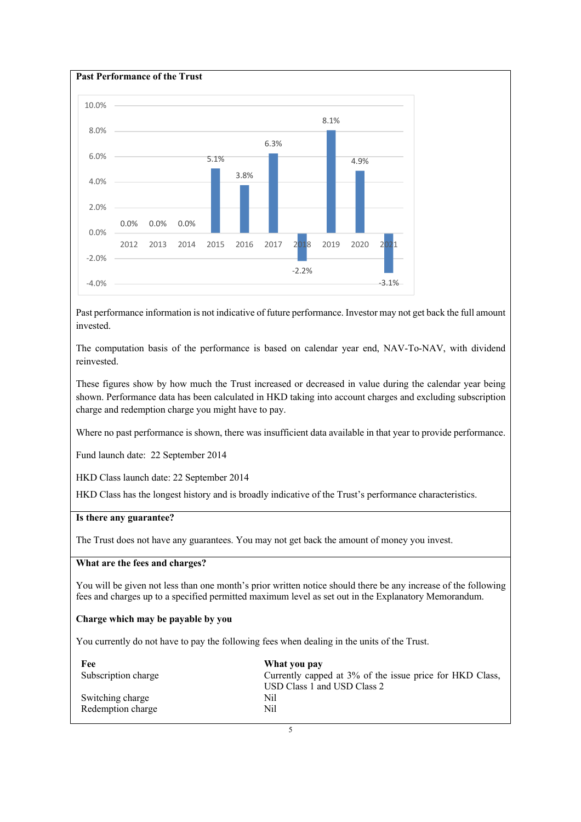

Past performance information is not indicative of future performance. Investor may not get back the full amount invested.

The computation basis of the performance is based on calendar year end, NAV-To-NAV, with dividend reinvested.

These figures show by how much the Trust increased or decreased in value during the calendar year being shown. Performance data has been calculated in HKD taking into account charges and excluding subscription charge and redemption charge you might have to pay.

Where no past performance is shown, there was insufficient data available in that year to provide performance.

Fund launch date: 22 September 2014

HKD Class launch date: 22 September 2014

HKD Class has the longest history and is broadly indicative of the Trust's performance characteristics.

## **Is there any guarantee?**

The Trust does not have any guarantees. You may not get back the amount of money you invest.

## **What are the fees and charges?**

You will be given not less than one month's prior written notice should there be any increase of the following fees and charges up to a specified permitted maximum level as set out in the Explanatory Memorandum.

#### **Charge which may be payable by you**

You currently do not have to pay the following fees when dealing in the units of the Trust.

| Fee                 | What you pay                                             |
|---------------------|----------------------------------------------------------|
| Subscription charge | Currently capped at 3% of the issue price for HKD Class, |
|                     | USD Class 1 and USD Class 2                              |
| Switching charge    | Nil                                                      |
| Redemption charge   | Nil                                                      |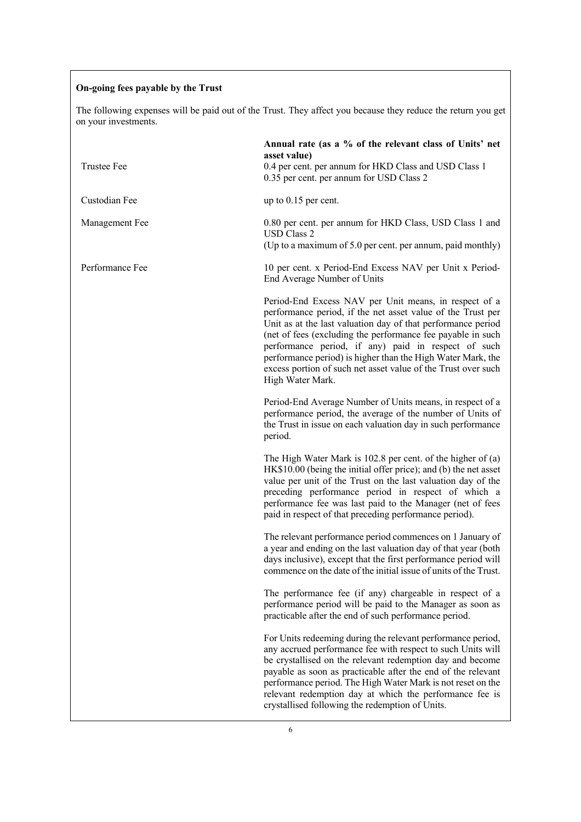# **On-going fees payable by the Trust**

The following expenses will be paid out of the Trust. They affect you because they reduce the return you get on your investments.

| <b>Trustee Fee</b> | Annual rate (as a % of the relevant class of Units' net<br>asset value)<br>0.4 per cent. per annum for HKD Class and USD Class 1<br>0.35 per cent. per annum for USD Class 2                                                                                                                                                                                                                                                                                   |
|--------------------|----------------------------------------------------------------------------------------------------------------------------------------------------------------------------------------------------------------------------------------------------------------------------------------------------------------------------------------------------------------------------------------------------------------------------------------------------------------|
| Custodian Fee      | up to $0.15$ per cent.                                                                                                                                                                                                                                                                                                                                                                                                                                         |
| Management Fee     | 0.80 per cent. per annum for HKD Class, USD Class 1 and<br><b>USD Class 2</b><br>(Up to a maximum of 5.0 per cent. per annum, paid monthly)                                                                                                                                                                                                                                                                                                                    |
| Performance Fee    | 10 per cent. x Period-End Excess NAV per Unit x Period-<br>End Average Number of Units                                                                                                                                                                                                                                                                                                                                                                         |
|                    | Period-End Excess NAV per Unit means, in respect of a<br>performance period, if the net asset value of the Trust per<br>Unit as at the last valuation day of that performance period<br>(net of fees (excluding the performance fee payable in such<br>performance period, if any) paid in respect of such<br>performance period) is higher than the High Water Mark, the<br>excess portion of such net asset value of the Trust over such<br>High Water Mark. |
|                    | Period-End Average Number of Units means, in respect of a<br>performance period, the average of the number of Units of<br>the Trust in issue on each valuation day in such performance<br>period.                                                                                                                                                                                                                                                              |
|                    | The High Water Mark is $102.8$ per cent. of the higher of (a)<br>HK\$10.00 (being the initial offer price); and (b) the net asset<br>value per unit of the Trust on the last valuation day of the<br>preceding performance period in respect of which a<br>performance fee was last paid to the Manager (net of fees<br>paid in respect of that preceding performance period).                                                                                 |
|                    | The relevant performance period commences on 1 January of<br>a year and ending on the last valuation day of that year (both<br>days inclusive), except that the first performance period will<br>commence on the date of the initial issue of units of the Trust.                                                                                                                                                                                              |
|                    | The performance fee (if any) chargeable in respect of a<br>performance period will be paid to the Manager as soon as<br>practicable after the end of such performance period.                                                                                                                                                                                                                                                                                  |
|                    | For Units redeeming during the relevant performance period,<br>any accrued performance fee with respect to such Units will<br>be crystallised on the relevant redemption day and become<br>payable as soon as practicable after the end of the relevant<br>performance period. The High Water Mark is not reset on the<br>relevant redemption day at which the performance fee is<br>crystallised following the redemption of Units.                           |